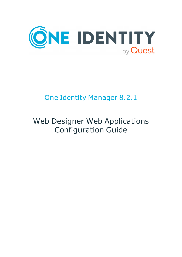

# One Identity Manager 8.2.1

# Web Designer Web Applications Configuration Guide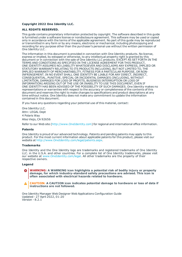#### **Copyright 2022 One Identity LLC.**

#### **ALL RIGHTS RESERVED.**

This guide contains proprietary information protected by copyright. The software described in this guide is furnished under a software license or nondisclosure agreement. This software may be used or copied only in accordance with the terms of the applicable agreement. No part of this guide may be reproduced or transmitted in any form or by any means, electronic or mechanical, including photocopying and recording for any purpose other than the purchaser's personal use without the written permission of One Identity LLC .

The information in this document is provided in connection with One Identity products. No license, express or implied, by estoppel or otherwise, to any intellectual property right is granted by this document or in connection with the sale of One Identity LLC products. EXCEPT AS SET FORTH IN THE TERMS AND CONDITIONS AS SPECIFIED IN THE LICENSE AGREEMENT FOR THIS PRODUCT, ONE IDENTITY ASSUMES NO LIABILITY WHATSOEVER AND DISCLAIMS ANY EXPRESS, IMPLIED OR STATUTORY WARRANTY RELATING TO ITS PRODUCTS INCLUDING, BUT NOT LIMITED TO, THE IMPLIED WARRANTY OF MERCHANTABILITY, FITNESS FOR A PARTICULAR PURPOSE, OR NON-INFRINGEMENT. IN NO EVENT SHALL ONE IDENTITY BE LIABLE FOR ANY DIRECT, INDIRECT, CONSEQUENTIAL, PUNITIVE, SPECIAL OR INCIDENTAL DAMAGES (INCLUDING, WITHOUT LIMITATION, DAMAGES FOR LOSS OF PROFITS, BUSINESS INTERRUPTION OR LOSS OF INFORMATION) ARISING OUT OF THE USE OR INABILITY TO USE THIS DOCUMENT, EVEN IF ONE IDENTITY HAS BEEN ADVISED OF THE POSSIBILITY OF SUCH DAMAGES. One Identity makes no representations or warranties with respect to the accuracy or completeness of the contents of this document and reserves the right to make changes to specifications and product descriptions at any time without notice. One Identity does not make any commitment to update the information contained in this document.

If you have any questions regarding your potential use of this material, contact:

One Identity LLC. Attn: LEGAL Dept 4 Polaris Way Aliso Viejo, CA 92656

Refer to our Web site ([http://www.OneIdentity.com](http://www.oneidentity.com/)) for regional and international office information.

#### **Patents**

One Identity is proud of our advanced technology. Patents and pending patents may apply to this product. For the most current information about applicable patents for this product, please visit our website at [http://www.OneIdentity.com/legal/patents.aspx](http://www.oneidentity.com/legal/patents.aspx).

#### **Trademarks**

One Identity and the One Identity logo are trademarks and registered trademarks of One Identity LLC. in the U.S.A. and other countries. For a complete list of One Identity trademarks, please visit our website at [www.OneIdentity.com/legal](http://www.oneidentity.com/legal). All other trademarks are the property of their respective owners.

#### **Legend**

**WARNING: A WARNING icon highlights a potential risk of bodily injury or property damage, for which industry-standard safety precautions are advised. This icon is often associated with electrical hazards related to hardware.**

**CAUTION: A CAUTION icon indicates potential damage to hardware or loss of data if** A **instructions are not followed.**

One Identity Manager Web Designer Web Applications Configuration Guide Updated - 27 April 2022, 01:20 Version - 8.2.1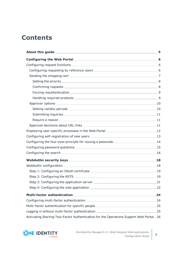# **Contents**

| Activating Starling Two-Factor Authentication for the Operations Support Web Portal . 26 |  |
|------------------------------------------------------------------------------------------|--|

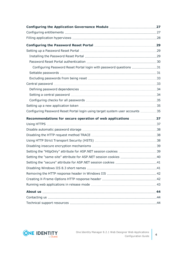| Configuring Password Reset Portal login with password questions 31           |  |
|------------------------------------------------------------------------------|--|
|                                                                              |  |
|                                                                              |  |
|                                                                              |  |
|                                                                              |  |
|                                                                              |  |
|                                                                              |  |
|                                                                              |  |
| Configuring Password Reset Portal login using target system user accounts 35 |  |
| Recommendations for secure operation of web applications 37                  |  |
|                                                                              |  |
|                                                                              |  |
|                                                                              |  |
|                                                                              |  |
|                                                                              |  |
|                                                                              |  |
| Setting the "same-site" attribute for ASP.NET session cookies 40             |  |
|                                                                              |  |
|                                                                              |  |
|                                                                              |  |
|                                                                              |  |
|                                                                              |  |
|                                                                              |  |
|                                                                              |  |
|                                                                              |  |

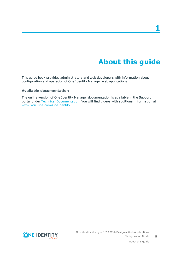# **About this guide**

<span id="page-4-0"></span>This guide book provides administrators and web developers with information about configuration and operation of One Identity Manager web applications.

#### **Available documentation**

The online version of One Identity Manager documentation is available in the Support portal under Technical [Documentation.](https://support.oneidentity.com/identity-manager/technical-documents) You will find videos with additional information at [www.YouTube.com/OneIdentity.](http://www.youtube.com/OneIdentity)



**5**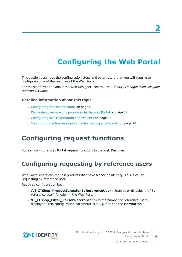# **Configuring the Web Portal**

<span id="page-5-0"></span>This section describes the configuration steps and parameters that you will require to configure some of the features of the Web Portal.

For more information about the Web Designer, see the *One Identity Manager Web Designer Reference Guide*.

#### **Detailed information about this topic**

- $\cdot$  [Configuring](#page-5-1) request functions on page 6
- Displaying [user-specific](#page-11-0) processes in the Web Portal on page 12
- Configuring [self-registration](#page-12-0) of new users on page 13
- [Configuring](#page-13-0) the four eyes principle for issuing a passcode. on page 14

### <span id="page-5-1"></span>**Configuring request functions**

<span id="page-5-2"></span>You can configure Web Portal request functions in the Web Designer.

### **Configuring requesting by reference users**

Web Portal users can request products that have a specific identity. This is called requesting by reference user.

Required configuration key:

- <sup>l</sup> (**VI\_ITShop\_ProductSelectionByReferenceUser** : Enables or disables the "By reference user" function in the Web Portal.
- **. VI\_ITShop\_Filter\_PersonReference**: Sets the number of reference users displayed. This configuration parameter is a SQL filter on the **Person** table.

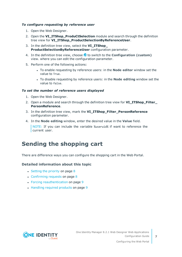#### *To configure requesting by reference user*

- 1. Open the Web Designer.
- 2. Open the **VI\_ITShop\_ProduCtSelection** module and search through the definition tree view for **VI\_ITShop\_ProductSelectionByReferenceUser**.
- 3. In the definition tree view, select the **VI\_ITShop\_ ProductSelectionByReferenceUser** configuration parameter.
- 4. In the definition tree view, choose **t** to switch to the **Configuration** (custom) view. where you can edit the configuration parameter.
- 5. Perform one of the following actions:
	- <sup>l</sup> To enable requesting by reference users: in the **Node editor** window set the value to True.
	- <sup>l</sup> To disable requesting by reference users: in the **Node editing** window set the value to false.

#### *To set the number of reference users displayed*

- 1. Open the Web Designer.
- 2. Open a module and search through the definition tree view for **VI\_ITShop\_Filter\_ PersonReference**.
- 3. In the definition tree view, mark the **VI\_ITShop\_Filter\_PersonReference** configuration parameter.
- 4. In the **Node editing** window, enter the desired value in the **Value** field.

NOTE: If you can include the variable %useruid% if want to reference the current user.

### <span id="page-6-0"></span>**Sending the shopping cart**

There are difference ways you can configure the shopping cart in the Web Portal.

#### **Detailed information about this topic**

- $\cdot$  Setting the [priority](#page-7-0) on page 8
- $\cdot$  [Confirming](#page-7-1) requests on page 8
- Forcing [reauthentication](#page-8-0) on page 9
- [Handling](#page-8-1) required products on page 9

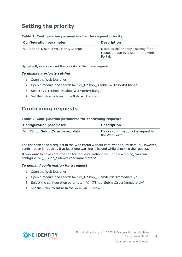### <span id="page-7-0"></span>**Setting the priority**

#### **Table 1: Configuration parameters for the request priority**

| <b>Configuration parameter</b>     | <b>Description</b>                                                                    |
|------------------------------------|---------------------------------------------------------------------------------------|
| VI_ITShop_DisablePWOPriorityChange | Disables the priority's setting for a<br>request made by a user in the Web<br>Portal. |

By default, users can set the priority of their own request.

#### *To disable a priority setting*

- 1. Open the Web Designer.
- 2. Open a module and search for "VI\_ITShop\_DisablePWOPriorityChange".
- 3. Select "VI\_ITShop\_DisablePWOPriorityChange".
- <span id="page-7-1"></span>4. Set the value to **true** in the Node editor view.

### **Confirming requests**

#### **Table 2: Configuration parameter for confirming requests**

| <b>Configuration parameter</b>   | <b>Description</b>                                     |
|----------------------------------|--------------------------------------------------------|
| VI_ITShop_SubmitOrderImmediately | Forces confirmation of a request in<br>the Web Portal. |

The user can send a request in the Web Portal without confirmation, by default. However, confirmation is required if at least one warning is issued while checking the request.

If you want to have confirmation for requests without requiring a warning, you can configure "VI\_ITShop\_SubmitOrderImmediately".

#### *To demand confirmation for a request*

- 1. Open the Web Designer.
- 2. Open a module and search for "VI\_ITShop\_SubmitOrderImmediately".
- 3. Select the configuration parameter "VI\_ITShop\_SubmitOrderImmediately".
- 4. Set the value to **false** in the Node editor view.

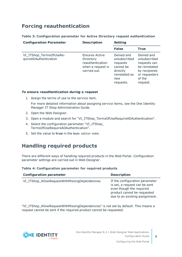### <span id="page-8-0"></span>**Forcing reauthentication**

#### **Table 3: Configuration parameter for Active Directory request authentication**

| <b>Configuration Parameter</b>                   | <b>Description</b>                                                                   | <b>Setting</b>                                                                                       |                                                                                                                     |
|--------------------------------------------------|--------------------------------------------------------------------------------------|------------------------------------------------------------------------------------------------------|---------------------------------------------------------------------------------------------------------------------|
|                                                  |                                                                                      | <b>False</b>                                                                                         | <b>True</b>                                                                                                         |
| VI_ITShop_TermsOfUseRe-<br>quireADAuthentication | Ensures Active<br>Directory<br>reauthentication<br>when a request is<br>carried out. | Denied and<br>unsubscribed<br>requests<br>cannot be<br>directly<br>reinstated as<br>new<br>requests. | Denied and<br>unsubscribed<br>requests can<br>be reinstated<br>by recipients<br>or requesters<br>of the<br>request. |

#### *To ensure reauthentication during a request*

1. Assign the terms of use to the service item.

For more detailed information about assigning service items, see the One Identity Manager IT Shop Administration Guide.

- 2. Open the Web Designer.
- 3. Open a module and search for "VI\_ITShop\_TermsOfUseRequireADAuthentication".
- 4. Select the configuration parameter "VI\_ITShop TermsOfUseRequireADAuthentication".
- <span id="page-8-1"></span>5. Set the value to **true** in the Node editor view.

### **Handling required products**

There are different ways of handling required products in the Web Portal. Configuration parameter settings are carried out in Web Designer.

#### **Table 4: Configuration parameter for required products**

| <b>Configuration parameter</b>                | <b>Description</b>                                                                                                                                           |
|-----------------------------------------------|--------------------------------------------------------------------------------------------------------------------------------------------------------------|
| VI_ITShop_AllowRequestWithMissingDependencies | If the configuration parameter<br>is set, a request can be sent<br>even though the required<br>product cannot be requested<br>due to an existing assignment. |

"VI\_ITShop\_AllowRequestWithMissingDependencies" is not set by default. This means a request cannot be sent if the required product cannot be requested.



**9**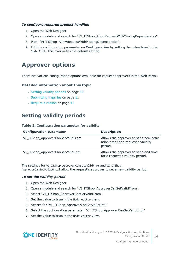#### *To configure required product handling*

- 1. Open the Web Designer.
- 2. Open a module and search for "VI\_ITShop\_AllowRequestWithMissingDependencies".
- 3. Mark "VI\_ITShop\_AllowRequestWithMissingDependencies".
- 4. Edit the configuration parameter on **Configuration** by setting the value **true** in the Node Edit. This overwrites the default setting.

### <span id="page-9-0"></span>**Approver options**

There are various configuration options available for request approvers in the Web Portal.

#### **Detailed information about this topic**

- Setting validity [periods](#page-9-1) on page 10
- $\cdot$  [Submitting](#page-10-0) inquiries on page 11
- $\cdot$  [Require](#page-10-1) a reason on page 11

### <span id="page-9-1"></span>**Setting validity periods**

#### **Table 5: Configuration parameter for validity**

| <b>Configuration parameter</b>     | <b>Description</b>                                                                        |
|------------------------------------|-------------------------------------------------------------------------------------------|
| VI_ITShop_ApproverCanSetValidFrom  | Allows the approver to set a new activ-<br>ation time for a request's validity<br>period. |
| VI_ITShop_ApproverCanSetValidUntil | Allows the approver to set a end time<br>for a request's validity period.                 |

The settings for VI\_ITShop\_ApproverCanSetValidFrom and VI\_ITShop ApproverCanSetValidUntil allow the request's approver to set a new validity period.

#### *To set the validity period*

- 1. Open the Web Designer.
- 2. Open a module and search for "VI\_ITShop\_ApproverCanSetValidFrom".
- 3. Select "VI\_ITShop\_ApproverCanSetValidFrom".
- 4. Set the value to **true** in the Node editor view.
- 5. Search for "VI\_ITShop\_ApproverCanSetValidUntil".
- 6. Select the configuration parameter "VI\_ITShop\_ApproverCanSetValidUntil"
- 7. Set the value to **true** in the Node editor view.

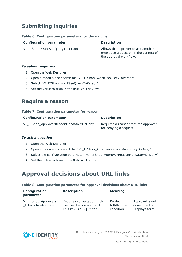### <span id="page-10-0"></span>**Submitting inquiries**

#### **Table 6: Configuration parameters for the inquiry**

| <b>Configuration parameter</b> | <b>Description</b>                                                                                    |
|--------------------------------|-------------------------------------------------------------------------------------------------------|
| VI_ITShop_WantSeeQueryToPerson | Allows the approver to ask another<br>employee a question in the context of<br>the approval workflow. |

#### *To submit inquiries*

- 1. Open the Web Designer.
- 2. Open a module and search for "VI\_ITShop\_WantSeeQueryToPerson".
- 3. Select "VI\_ITShop\_WantSeeQueryToPerson".
- <span id="page-10-1"></span>4. Set the value to **true** in the Node editor view.

### **Require a reason**

#### **Table 7: Configuration parameter for reason**

| <b>Configuration parameter</b>          | <b>Description</b>                                            |
|-----------------------------------------|---------------------------------------------------------------|
| VI_ITShop_ApproverReasonMandatoryOnDeny | Requires a reason from the approver<br>for denying a request. |

#### *To ask a question*

- 1. Open the Web Designer.
- 2. Open a module and search for "VI\_ITShop\_ApproverReasonMandatoryOnDeny".
- 3. Select the configuration parameter "VI\_ITShop\_ApproverReasonMandatoryOnDeny".
- <span id="page-10-2"></span>4. Set the value to **true** in the Node editor view.

### **Approval decisions about URL links**

#### **Table 8: Configuration parameter for approval decisions about URL links**

| Configuration<br>parameter                        | <b>Description</b>                                                                  | <b>Meaning</b>                          |                                                    |
|---------------------------------------------------|-------------------------------------------------------------------------------------|-----------------------------------------|----------------------------------------------------|
| VI_ITShop_Approvals<br><b>InteractiveApproval</b> | Requires consultation with<br>the user before approval.<br>This key is a SQL filter | Product<br>fulfills filter<br>condition | Approval is not<br>done directly.<br>Displays form |



**11**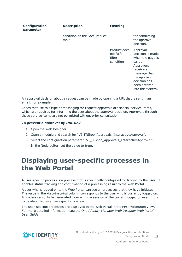| Configuration<br>parameter | <b>Description</b>                      | <b>Meaning</b>                                     |                                                                                                                                                                           |
|----------------------------|-----------------------------------------|----------------------------------------------------|---------------------------------------------------------------------------------------------------------------------------------------------------------------------------|
|                            | condition on the "AccProduct"<br>table. |                                                    | for confirming<br>the approval<br>decision.                                                                                                                               |
|                            |                                         | Product does<br>not fulfill<br>filter<br>condition | Approval<br>decision is made<br>when the page is<br>called.<br>Approvers<br>receive a<br>message that<br>the approval<br>decision has<br>been entered<br>into the system. |

An approval decision about a request can be made by opening a URL that is sent in an email, for example.

Cases that use this type of messaging for request approvals are special service items, which are required for informing the user about the approval decision. Approvals through these service items are not permitted without prior consultation.

#### *To prevent a approval by URL link*

- 1. Open the Web Designer.
- 2. Open a module and search for "VI\_ITShop\_Approvals\_InteractiveApproval".
- 3. Select the configuration parameter "VI\_ITShop\_Approvals\_InteractiveApproval".
- <span id="page-11-0"></span>4. In the Node editor, set the value to **true**.

### **Displaying user-specific processes in the Web Portal**

A user-specific process is a process that is specifically configured for tracing by the user. It enables status tracking and confirmation of a processing result to the Web Portal.

A user who is logged on to the Web Portal can see all processes that they have initiated. The value in the XUserInserted column corresponds to the user who is currently logged on. A process can only be generated from within a session of the current logged on user if it is to be identified as a user-specific process.

The user-specific processes are displayed in the Web Portal in the **My Processes** view. For more detailed information, see the *One Identity Manager Web Designer Web Portal User Guide*.



**12**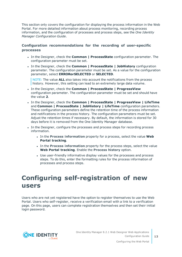This section only covers the configuration for displaying the process information in the Web Portal. For more detailed information about process monitoring, recording process information, and the configuration of processes and process steps, see the *One Identity Manager Configuration Guide*.

#### **Configuration recommendations for the recording of user-specific processes**

- <sup>l</sup> In the Designer, check the **Common | ProcessState** configuration parameter. The configuration parameter must be set.
- <sup>l</sup> In the Designer, check the **Common | ProcessState | JobHistory** configuration parameter. The configuration parameter must be set. As a value for the configuration parameter, select **ERRORorSELECTED** or **SELECTED**.

NOTE: The value **ALL** also takes into account the notifications from the process history. However, this setting can lead to an extremely large data volume.

- <sup>l</sup> In the Designer, check the **Common | ProcessState | ProgressView** configuration parameter. The configuration parameter must be set and should have the value **2**.
- <sup>l</sup> In the Designer, check the **Common | ProcessState | ProgressView | LifeTime** and **Common | ProcessState | JobHistory | LifeTime** configuration parameters. These configuration parameters define the retention time of the process information and notifications in the process history. The configuration parameters must be set. Adjust the retention times if necessary. By default, the information is stored for 30 days before it is removed from the One Identity Manager database.
- In the Designer, configure the processes and process steps for recording process information.
	- <sup>l</sup> In the **Process information** property for a process, select the value **Web Portal tracking**.
	- <sup>l</sup> In the **Process information** property for the process steps, select the value **Web Portal tracking**. Enable the **Process history** option.
	- Use user-friendly informative display values for the processes and process steps. To do this, enter the formatting rules for the process information of processes and process steps.

## <span id="page-12-0"></span>**Configuring self-registration of new users**

Users who are not yet registered have the option to register themselves to use the Web Portal. Users who self-register, receive a verification email with a link to a verification page. On this page, users can complete registration themselves and then set their initial login password.

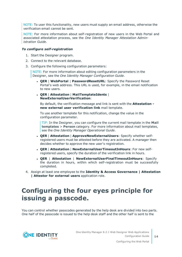NOTE: To user this functionality, new users must supply an email address, otherwise the verification email cannot be sent.

NOTE: For more information about self-registration of new users in the Web Portal and associated attestation process, see the *One Identity Manager Attestation Administration Guide*.

#### *To configure self-registration*

- 1. Start the Designer program.
- 2. Connect to the relevant database.
- 3. Configure the following configuration parameters:

NOTE: For more information about editing configuration parameters in the Designer, see the *One Identity Manager Configuration Guide*.

- <sup>l</sup> **QER** | **WebPortal** | **PasswordResetURL**: Specify the Password Reset Portal's web address. This URL is used, for example, in the email notification to new users.
- <sup>l</sup> **QER** | **Attestation** | **MailTemplateIdents** | **NewExternalUserVerification**:

By default, the verification message and link is sent with the **Attestation new external user verification link** mail template.

To use another template for this notification, change the value in the configuration parameter.

TIP: In the Designer, you can configure the current mail template in the **Mail templates** > **Person** category. For more information about mail templates, see the *One Identity Manager Operational Guide*.

- <sup>l</sup> **QER** | **Attestation** | **ApproveNewExternalUsers**: Specify whether selfregistered users must be attested before they are activated. A manager then decides whether to approve the new user's registration.
- <sup>l</sup> **QER** | **Attestation** | **NewExternalUserTimeoutInHours**: For new selfregistered users, specify the duration of the verification link in hours.
- <sup>l</sup> **QER** | **Attestation** | **NewExternalUserFinalTimeoutInHours**: Specify the duration in hours, within which self-registration must be successfully completed.
- 4. Assign at least one employee to the **Identity & Access Governance | Attestation | Attestor for external users** application role.

## <span id="page-13-0"></span>**Configuring the four eyes principle for issuing a passcode.**

You can control whether passcodes generated by the help desk are divided into two parts. One half of the passcode is issued to the help desk staff and the other half is sent to the



Configuring the Web Portal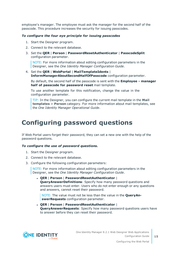employee's manager. The employee must ask the manager for the second half of the passcode. This procedure increases the security for issuing passcodes.

#### *To configure the four eye principle for issuing passcodes*

- 1. Start the Designer program.
- 2. Connect to the relevant database.
- 3. Set the **QER** | **Person** | **PasswordResetAuthenticator** | **PasscodeSplit** configuration parameter.

NOTE: For more information about editing configuration parameters in the Designer, see the *One Identity Manager Configuration Guide*.

4. Set the **QER** | **WebPortal** | **MailTemplateIdents** | **InformManagerAboutSecondHalfOfPasscode** configuration parameter.

By default, the second half of the passcode is sent with the **Employee - manager half of passcode for password reset** mail template.

To use another template for this notification, change the value in the configuration parameter.

TIP: In the Designer, you can configure the current mail template in the **Mail templates** > **Person** category. For more information about mail templates, see the *One Identity Manager Operational Guide*.

### <span id="page-14-0"></span>**Configuring password questions**

If Web Portal users forget their password, they can set a new one with the help of the password questions.

#### *To configure the use of password questions.*

- 1. Start the Designer program.
- 2. Connect to the relevant database.
- 3. Configure the following configuration parameters:

NOTE: For more information about editing configuration parameters in the Designer, see the *One Identity Manager Configuration Guide*.

<sup>l</sup> **QER** | **Person** | **PasswordResetAuthenticator** | **QueryAnswerDefinitions**: Specify how many password questions and answers users must enter. Users who do not enter enough or any questions and answers, cannot reset their password.

NOTE: The value must not be less than the value in the **QueryAnswerRequests** configuration parameter.

<sup>l</sup> **QER** | **Person** | **PasswordResetAuthenticator** | **QueryAnswerRequests**: Specify how many password questions users have to answer before they can reset their password.



**15**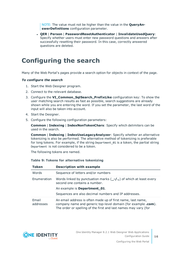NOTE: The value must not be higher than the value in the **QueryAnswerDefinitions** configuration parameter.

<sup>l</sup> **QER** | **Person** | **PasswordResetAuthenticator** | **InvalidateUsedQuery**: Specify whether users must enter new password questions and answers after successfully resetting their password. In this case, correctly answered questions are deleted.

## <span id="page-15-0"></span>**Configuring the search**

Many of the Web Portal's pages provide a search option for objects in context of the page.

#### *To configure the search*

- 1. Start the Web Designer program.
- 2. Connect to the relevant database.
- 3. Configure the **VI\_Common\_SqlSearch\_PrefixLike** configuration key: To show the user matching search results as fast as possible, search suggestions are already shown while you are entering the word. If you set the parameter, the last word of the input will also be taken into account.
- 4. Start the Designer.
- 5. Configure the following configuration parameters:

**Common** | **Indexing** | **IndexNonTokenChars**: Specify which delimiters can be used in the search.

**Common** | **Indexing** | **IndexUseLegacyAnalyzer**: Specify whether an alternative tokenizing is also be performed. The alternative method of tokenizing is preferable for long tokens. For example, if the string Department 01 is a token, the partial string Department is not considered to be a token.

The following tokens are named.

| <b>Token</b>       | <b>Description with example</b>                                                                                                                                                                 |
|--------------------|-------------------------------------------------------------------------------------------------------------------------------------------------------------------------------------------------|
| Words              | Sequence of letters and/or numbers                                                                                                                                                              |
| Enumeration        | Words linked by punctuation marks $(-/$ ., of which at least every<br>second one contains a number.                                                                                             |
|                    | An example is Department_01.                                                                                                                                                                    |
|                    | Sequences are also decimal numbers and IP addresses.                                                                                                                                            |
| Email<br>addresses | An email address is often made up of first name, last name,<br>company name and generic top-level domain (for example .com).<br>The order or spelling of the first and last names may vary (for |

#### **Table 9: Tokens for alternative tokenizing**

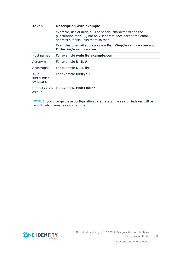| <b>Token</b>                     | <b>Description with example</b>                                                                                                                                    |
|----------------------------------|--------------------------------------------------------------------------------------------------------------------------------------------------------------------|
|                                  | example, use of initials). The special character @ and the<br>punctuation mark (.) not only separate each part of the email<br>address but also links them so that |
|                                  | Examples of email addresses are <b>Ben.King@example.com</b> and<br>C.Harris@example.com.                                                                           |
| Host names                       | For example website.example.com.                                                                                                                                   |
| Acronym                          | For example <b>U. S. A.</b>                                                                                                                                        |
| Apostrophe                       | For example O'Reilly.                                                                                                                                              |
| @, &<br>surrounded<br>by letters | For example Me&you.                                                                                                                                                |
|                                  | iliyyika duqba ilifay quqaanta Mexr Miilley                                                                                                                        |

Umlauts such For example **Max Müller**. as ä, ö, ü

NOTE: If you change these configuration parameters, the search indexes will be rebuilt, which may take some time.

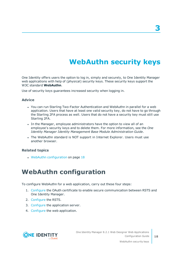# **WebAuthn security keys**

<span id="page-17-0"></span>One Identity offers users the option to log in, simply and securely, to One Identity Manager web applications with help of (physical) security keys. These security keys support the W3C standard **WebAuthn**.

Use of security keys guarantees increased security when logging in.

#### **Advice**

- You can run Starling Two-Factor Authentication and WebAuthn in parallel for a web application. Users that have at least one valid security key, do not have to go through the Starling 2FA process as well. Users that do not have a security key must still use Starling 2FA.
- In the Manager, employee administrators have the option to view all of an employee's security keys and to delete them. For more information, see the *One Identity Manager Identity Management Base Module Administration Guide*.
- The WebAuthn standard is NOT support in Internet Explorer. Users must use another browser.

#### **Related topics**

<span id="page-17-1"></span>• WebAuthn [configuration](#page-17-1) on page 18

### **WebAuthn configuration**

To configure WebAuthn for a web application, carry out these four steps:

- 1. [Configure](#page-18-0) the OAuth certificate to enable secure communication between RSTS and One Identity Manager.
- 2. [Configure](#page-18-1) the RSTS.
- 3. [Configure](#page-20-0) the application server.
- 4. [Configure](#page-21-0) the web application.

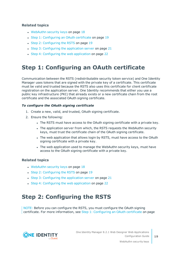#### **Related topics**

- $\cdot$  [WebAuthn](#page-17-0) security keys on page 18
- Step 1: [Configuring](#page-18-0) an OAuth certificate on page 19
- Step 2: [Configuring](#page-18-1) the RSTS on page 19
- $\cdot$  Step 3: [Configuring](#page-20-0) the application server on page 21
- Step 4: [Configuring](#page-21-0) the web application on page 22

### <span id="page-18-0"></span>**Step 1: Configuring an OAuth certificate**

Communication between the RSTS (redistributable security token service) and One Identity Manager uses tokens that are signed with the private key of a certificate. This certificate must be valid and trusted because the RSTS also uses this certificate for client certificate registration on the application server. One Identity recommends that either you use a public key infrastructure (PKI) that already exists or a new certificate chain from the root certificate and the associated OAuth signing certificate.

#### *To configure the OAuth signing certificate*

- 1. Create a new, valid, and trusted, OAuth signing certificate.
- 2. Ensure the following:
	- The RSTS must have access to the OAuth signing certificate with a private key.
	- The application server from which, the RSTS requests the WebAuthn security keys, must trust the certificate chain of the OAuth signing certificate.
	- The web application that allows login by RSTS, must have access to the OAuth signing certificate with a private key.
	- The web application used to manage the WebAuthn security keys, must have access to the OAuth signing certificate with a private key.

#### **Related topics**

- $\cdot$  [WebAuthn](#page-17-0) security keys on page 18
- Step 2: [Configuring](#page-18-1) the RSTS on page 19
- Step 3: [Configuring](#page-20-0) the application server on page 21
- Step 4: [Configuring](#page-21-0) the web application on page 22

### <span id="page-18-1"></span>**Step 2: Configuring the RSTS**

NOTE: Before you can configure the RSTS, you must configure the OAuth signing certificate. For more information, see Step 1: [Configuring](#page-18-0) an OAuth certificate on page

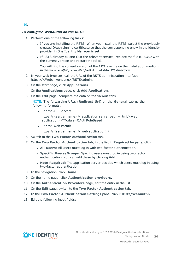#### $|19.$  $|19.$  $|19.$

#### *To configure WebAuthn on the RSTS*

- 1. Perform one of the following tasks:
	- If you are installing the RSTS: When you install the RSTS, select the previously created OAuth signing certificate so that the corresponding entry in the identity provider in One Identity Manager is set.
	- If RSTS already exists: Quit the relevant service, replace the file RSTS.exe with the current version and restart the RSTS.

You will find the current version of the RSTS.exe file on the installation medium in the Modules\QBM\dvd\AddOn\Redistributable STS directory.

- 2. In your web browser, call the URL of the RSTS administration interface: https://<Webanwendung>/RSTS/admin.
- 3. On the start page, click **Applications**.
- 4. On the **Applications** page, click **Add Application**.
- 5. On the **Edit** page, complete the data on the various tabs.

NOTE: The forwarding URLs (**Redirect Url**) on the **General** tab us the following formats:

• For the API Server:

https://<server name>/<application server path>/html/<web application>/?Module=OAuthRoleBased

• For the Web Portal:

https://<server name>/<web application>/

- 6. Switch to the **Two Factor Authentication** tab.
- 7. On the **Two Factor Authentication** tab, in the list in **Required by** pane, click:
	- **All Users:** All users must log in with two-factor authentication.
	- <sup>l</sup> **Specific Users/Groups**: Specific users must log in using two-factor authentication. You can add these by clicking **Add**.
	- **Note Required**: The application server decided which users must log in using two-factor authentication.
- 8. In the navigation, click **Home**.
- 9. On the home page, click **Authentication providers**.
- 10. On the **Authentication Providers** page, edit the entry in the list.
- 11. On the **Edit** page, switch to the **Two Factor Authentication** tab.
- 12. In the **Two Factor Authentication Settings** pane, click **FIDO2/WebAuthn**.
- 13. Edit the following input fields:

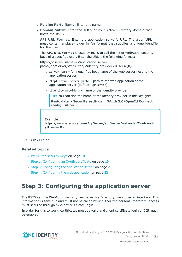- <sup>l</sup> **Relying Party Name**: Enter any name.
- **Domain Suffix:** Enter the suffix of your Active Directory domain that hosts the RSTS.
- <sup>l</sup> **API URL Format**: Enter the application server's URL. The given URL must contain a place-holder in {0} format that supplies a unique identifier for the user.

The **API URL Format** is used by RSTS to call the list of WebAuthn security keys of a specified user. Enter the URL in the following format:

https://<server name>/<application server path>/appServer/WebAuthn/<identity provider>/Users/{0}

- $\bullet$  Server name fully qualified host name of the web server hosting the application server
- <Application server path>  $-$  path to the web application of the application server (default: AppServer)
- $\bullet$  <Identity provider> name of the identity provider

TIP: You can find the name of the identity provider in the Designer:

**Basic data** > **Security settings** > **OAuth 2.0/OpenId Connect configuration**

Example: https://www.example.com/AppServer/appServer/webauthn/OneIdentit y/Users/{0}

14. Click **Finish**.

#### **Related topics**

- $\cdot$  [WebAuthn](#page-17-0) security keys on page 18
- Step 1: [Configuring](#page-18-0) an OAuth certificate on page 19
- Step 3: [Configuring](#page-20-0) the application server on page  $21$
- Step 4: [Configuring](#page-21-0) the web application on page 22

### <span id="page-20-0"></span>**Step 3: Configuring the application server**

The RSTS call the WebAuthn security key for Active Directory users over an interface. This information is sensitive and must not be called by unauthorized persons, therefore, access must secured through by client certificate login.

In order for this to work, certificates must be valid and client certificate login on IIS must be enabled.

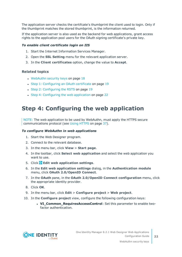The application server checks the certifcate's thumbprint the client used to login. Only if the thumbprint matches the stored thumbprint, is the information returned.

If the application server is also used as the backend for web applications, grant access rights to the application pool users for the OAuth signing certificate's private key.

#### *To enable client certificate login on IIS*

- 1. Start the Internet Information Services Manager.
- 2. Open the **SSL Setting** menu for the relevant application server.
- 3. In the **Client certificates** option, change the value to **Accept**.

#### **Related topics**

- [WebAuthn](#page-17-0) security keys on page 18
- Step 1: [Configuring](#page-18-0) an OAuth certificate on page 19
- Step 2: [Configuring](#page-18-1) the RSTS on page 19
- Step 4: [Configuring](#page-21-0) the web application on page 22

### <span id="page-21-0"></span>**Step 4: Configuring the web application**

NOTE: The web application to be used by WebAuthn, must apply the HTTPS secure communications protocol (see Using [HTTPS](#page-36-1) on page 37).

#### *To configure WebAuthn in web applications*

- 1. Start the Web Designer program.
- 2. Connect to the relevant database.
- 3. In the menu bar, click **View** > **Start page**.
- 4. In the toolbar, click **Select web application** and select the web application you want to use.
- 5. Click **Edit web application settings**.
- 6. In the **Edit web application settings** dialog, in the **Authentication module** menu, click **OAuth 2.0/OpenID Connect**.
- 7. In the **OAuth** pane, in the **OAuth 2.0/OpenID Connect configuration** menu, click the appropriate identity provider.
- 8. Click **OK**.
- 9. In the menu bar, click **Edit** > **Configure project** > **Web project**.
- 10. In the **Configure project** view, configure the following configuration keys:
	- **. VI Common RequiresAccessControl**: Set this parameter to enable twofactor authentication.

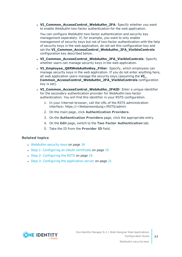**· VI\_Common\_AccessControl\_WebAuthn\_2FA:** Specify whether you want to enable WebAuthn two-factor authentication for the web application.

You can configure WebAuthn two-factor authentication and security key management separately. If, for example, you want to only enable management of security keys but not of two-factor authentication with the help of security keys in the web application, do not set this configuration key and set the **VI\_Common\_AccessControl\_WebAuthn\_2FA\_VisibleControls** configuration key described below.

- <sup>l</sup> **VI\_Common\_AccessControl\_WebAuthn\_2FA\_VisibleControls**: Specify whether users can manage security keys in the web application.
- **· VI\_Employee\_QERWebAuthnKey\_Filter**: Specify, which employees can manage security keys in the web application. If you do not enter anything here, all web application users manage the security keys (assuming the **VI\_ Common\_AccessControl\_WebAuthn\_2FA\_VisibleControls** configuration key is set).
- **. VI Common AccessControl WebAuthn 2FAID**: Enter a unique identifier for the secondary authentication provider for WebAuthn two-factor authentication. You will find this identifier in your RSTS configuration.
	- 1. In your Internet browser, call the URL of the RSTS administration interface: https://<Webanwendung>/RSTS/admin.
	- 2. On the main page, click **Authentication Providers**.
	- 3. On the **Authentication Providers** page, click the appropriate entry.
	- 4. On the **Edit** page, switch to the **Two Factor Authentication** tab.
	- 5. Take the ID from the **Provider ID** field.

#### **Related topics**

- [WebAuthn](#page-17-0) security keys on page 18
- Step 1: [Configuring](#page-18-0) an OAuth certificate on page 19
- Step 2: [Configuring](#page-18-1) the RSTS on page 19
- Step 3: [Configuring](#page-20-0) the application server on page  $21$

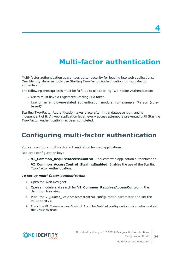# **Multi-factor authentication**

<span id="page-23-0"></span>Multi-factor authentication guarantees better security for logging into web applications. One Identity Manager tools use Starling Two-Factor Authentication for multi-factor authentication.

The following prerequisites must be fulfilled to use Starling Two-Factor Authentication:

- Users must have a registered Starling 2FA token.
- Use of an employee-related authentication module, for example "Person (rolebased)"

Starling Two-Factor Authentication takes place after initial database login and is independent of it. At web application level, every access attempt is prevented until Starling Two-Factor Authentication has been completed.

# <span id="page-23-1"></span>**Configuring multi-factor authentication**

You can configure multi-factor authentication for web applications.

Required configuration key:

- **· VI\_Common\_RequiresAccessControl**: Requests web application authentication.
- **. VI\_Common\_AccessControl\_StarlingEnabled**: Enables the use of the Starling Two-Factor Authentication.

#### *To set up multi-factor authentication*

- 1. Open the Web Designer.
- 2. Open a module and search for **VI\_Common\_RequiresAccessControl** in the definition tree view.
- 3. Mark the VI Common RequiresAccessControl configuration parameter and set the value to **true**.
- 4. Mark the VI Common AccessControl StarlingEnabled configuration parameter and set the value to **true**.



**4**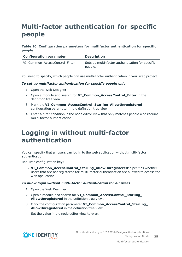# <span id="page-24-0"></span>**Multi-factor authentication for specific people**

#### **Table 10: Configuration parameters for multifactor authentication for specific people**

| <b>Configuration parameter</b> | <b>Description</b>                                          |
|--------------------------------|-------------------------------------------------------------|
| VI_Common_AccessControl_Filter | Sets up multi-factor authentication for specific<br>people. |

You need to specify, which people can use multi-factor authentication in your web project.

#### *To set up multifactor authentication for specific people only*

- 1. Open the Web Designer.
- 2. Open a module and search for **VI\_Common\_AccessControl\_Filter** in the definition tree view.
- 3. Mark the **VI\_Common\_AccessControl\_Starling\_AllowUnregistered** configuration parameter in the definition tree view.
- 4. Enter a filter condition in the node editor view that only matches people who require multi-factor authentication.

## <span id="page-24-1"></span>**Logging in without multi-factor authentication**

You can specify that all users can log in to the web application without multi-factor authentication.

Required configuration key:

**. VI\_Common\_AccessControl\_Starling\_AllowUnregistered:** Specifies whether users that are not registered for multi-factor authentication are allowed to access the web application.

#### *To allow login without multi-factor authentication for all users*

- 1. Open the Web Designer.
- 2. Open a module and search for **VI\_Common\_AccessControl\_Starling\_ AllowUnregistered** in the definition tree view.
- 3. Mark the configuration parameter **VI\_Common\_AccessControl\_Starling\_ AllowUnregistered** in the definition tree view.
- 4. Set the value in the node editor view to true.

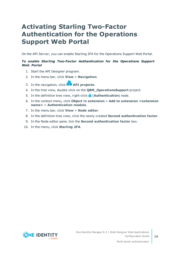## <span id="page-25-0"></span>**Activating Starling Two-Factor Authentication for the Operations Support Web Portal**

On the API Server, you can enable Starling 2FA for the Operations Support Web Portal.

#### *To enable Starling Two-Factor Authentication for the Operations Support Web Portal*

- 1. Start the API Designer program.
- 2. In the menu bar, click **View** > **Navigation**.
- 3. In the navigation, click **API projects**.
- 4. In the tree view, double-click on the **QBM\_OperationsSupport** project.
- 5. In the definition tree view, right-click (**Authentication**) node.
- 6. In the context menu, click **Object in extension** > **Add to extension <extension name>** > **Authentication module**.
- 7. In the menu bar, click **View** > **Node editor**.
- 8. In the definition tree view, click the newly created **Second authentication factor**.
- 9. In the Node editor pane, tick the **Second authentication factor** box.
- 10. In the menu, click **Starling 2FA**.

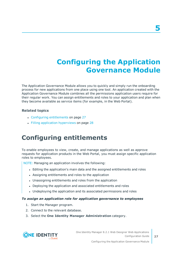# **Configuring the Application Governance Module**

<span id="page-26-0"></span>The Application Governance Module allows you to quickly and simply run the onboarding process for new applications from one place using one tool. An application created with the Application Governance Module combines all the permissions application users require for their regular work. You can assign entitlements and roles to your application and plan when they become available as service items (for example, in the Web Portal).

#### **Related topics**

- Configuring [entitlements](#page-26-1) on page 27
- Filling application [hyperviews](#page-27-0) on page 28

## <span id="page-26-1"></span>**Configuring entitlements**

To enable employees to view, create, and manage applications as well as approve requests for application products in the Web Portal, you must assign specific application roles to employees.

NOTE: Managing an application involves the following:

- <sup>l</sup> Editing the application's main data and the assigned entitlements and roles
- Assigning entitlements and roles to the application
- Unassigning entitlements and roles from the application
- Deploying the application and associated entitlements and roles
- Undeploying the application and its associated permissions and roles

#### *To assign an application role for application governance to employees*

- 1. Start the Manager program.
- 2. Connect to the relevant database.
- 3. Select the **One Identity Manager Administration** category.

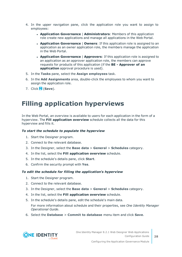- 4. In the upper navigation pane, click the application role you want to assign to employees:
	- <sup>l</sup> **Application Governance** | **Administrators**: Members of this application role create new applications and manage all applications in the Web Portal.
	- <sup>l</sup> **Application Governance** | **Owners**: If this application role is assigned to an application as an owner application role, the members manage the application in the Web Portal.
	- <sup>l</sup> **Application Governance** | **Approvers**: If this application role is assigned to an application as an approver application role, the members can approve requests for products of this application (if the **BE - Approver of an application** approval procedure is used).
- 5. In the **Tasks** pane, select the **Assign employees** task.
- 6. In the **Add Assignments** area, double-click the employees to whom you want to assign the application role.
- <span id="page-27-0"></span>7. Click (**Save**).

## **Filling application hyperviews**

In the Web Portal, an overview is available to users for each application in the form of a hyperview. The **Fill application overview** schedule collects all the data for this hyperview and fills it.

#### *To start the schedule to populate the hyperview*

- 1. Start the Designer program.
- 2. Connect to the relevant database.
- 3. In the Designer, select the **Base data** > **General** > **Schedules** category.
- 4. In the list, select the **Fill application overview** schedule.
- 5. In the schedule's details pane, click **Start**.
- 6. Confirm the security prompt with **Yes**.

#### *To edit the schedule for filling the application's hyperview*

- 1. Start the Designer program.
- 2. Connect to the relevant database.
- 3. In the Designer, select the **Base data** > **General** > **Schedules** category.
- 4. In the list, select the **Fill application overview** schedule.
- 5. In the schedule's details pane, edit the schedule's main data.

For more information about schedule and their properties, see *One Identity Manager Operational Guide*.

6. Select the **Database** > **Commit to database** menu item and click **Save**.

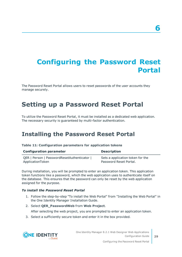# <span id="page-28-0"></span>**Configuring the Password Reset Portal**

The Password Reset Portal allows users to reset passwords of the user accounts they manage securely.

### <span id="page-28-1"></span>**Setting up a Password Reset Portal**

To utilize the Password Reset Portal, it must be installed as a dedicated web application. The necessary security is guaranteed by multi-factor authentication.

### <span id="page-28-2"></span>**Installing the Password Reset Portal**

| Table 11: Configuration parameters for application tokens |  |  |
|-----------------------------------------------------------|--|--|
|-----------------------------------------------------------|--|--|

| <b>Configuration parameter</b>            | <b>Description</b>               |
|-------------------------------------------|----------------------------------|
| QER   Person   PasswordResetAuthenticator | Sets a application token for the |
| ApplicationToken                          | Password Reset Portal.           |

During installation, you will be prompted to enter an application token. This application token functions like a password, which the web application uses to authenticate itself on the database. This ensures that the password can only be reset by the web application assigned for the purpose.

#### *To install the Password Reset Portal*

- 1. Follow the step-by-step "To install the Web Portal" from "Installing the Web Portal" in the One Identity Manager Installation Guide.
- 2. Select **QER\_PasswordWeb** from **Web Project**.

After selecting the web project, you are prompted to enter an application token.

3. Select a sufficiently secure token and enter it in the box provided.



One Identity Manager 8.2.1 Web Designer Web Applications Configuration Guide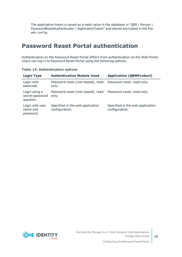The application token is saved as a hash value in the database in "QER | Person | PasswordResetAuthenticator | ApplicationToken" and stored encrypted in the file web.config.

### <span id="page-29-0"></span>**Password Reset Portal authentication**

Authentication on the Password Reset Portal differs from authentication on the Web Portal. Users can log in to Password Reset Portal using the following options:

| <b>Login Type</b>                             | <b>Authentication Module Used</b>                                      | <b>Application (QBMProduct)</b>                    |
|-----------------------------------------------|------------------------------------------------------------------------|----------------------------------------------------|
| Login with<br>passcode.                       | Password reset (role-based), read- Password reset, read-only.<br>only. |                                                    |
| Login using a<br>secret password<br>question. | Password reset (role-based), read- Password reset, read-only.<br>only. |                                                    |
| Login with user<br>name and<br>password.      | Specified in the web application<br>configuration.                     | Specified in the web application<br>configuration. |

**Table 12: Authentication options**

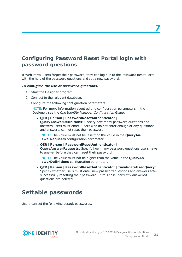### <span id="page-30-0"></span>**Configuring Password Reset Portal login with password questions**

If Web Portal users forget their password, they can login in to the Password Reset Portal with the help of the password questions and set a new password.

#### *To configure the use of password questions.*

- 1. Start the Designer program.
- 2. Connect to the relevant database.
- 3. Configure the following configuration parameters:

NOTE: For more information about editing configuration parameters in the Designer, see the *One Identity Manager Configuration Guide*.

<sup>l</sup> **QER** | **Person** | **PasswordResetAuthenticator** | **QueryAnswerDefinitions**: Specify how many password questions and answers users must enter. Users who do not enter enough or any questions and answers, cannot reset their password.

NOTE: The value must not be less than the value in the **QueryAnswerRequests** configuration parameter.

<sup>l</sup> **QER** | **Person** | **PasswordResetAuthenticator** | **QueryAnswerRequests**: Specify how many password questions users have to answer before they can reset their password.

NOTE: The value must not be higher than the value in the **QueryAnswerDefinitions** configuration parameter.

<sup>l</sup> **QER** | **Person** | **PasswordResetAuthenticator** | **InvalidateUsedQuery**: Specify whether users must enter new password questions and answers after successfully resetting their password. In this case, correctly answered questions are deleted.

### <span id="page-30-1"></span>**Settable passwords**

Users can set the following default passwords.

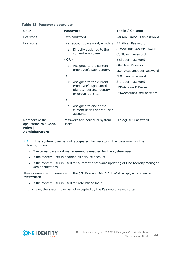| <b>User</b>                                                                        | <b>Password</b>                                                      | Table / Column            |  |
|------------------------------------------------------------------------------------|----------------------------------------------------------------------|---------------------------|--|
| Own password<br>Everyone                                                           |                                                                      | Person.DialogUserPassword |  |
| Everyone                                                                           | User account password, which is                                      | AADUser.Password          |  |
|                                                                                    | a. Directly assigned to the                                          | ADSAccount.UserPassword   |  |
|                                                                                    | current employee.                                                    | CSMUser.Password          |  |
|                                                                                    | $- OR -$                                                             | EBSUser.Password          |  |
|                                                                                    | b. Assigned to the current                                           | GAPUser.Password          |  |
|                                                                                    | employee's sub identity.                                             | LDAPAccount.UserPassword  |  |
|                                                                                    | $- OR -$                                                             | NDOUser.Password          |  |
|                                                                                    | c. Assigned to the current                                           | SAPUser.Password          |  |
|                                                                                    | employee's sponsored<br>identity, service identity                   | UNSAccountB.Password      |  |
|                                                                                    | or group identity.                                                   | UNXAccount.UserPassword   |  |
|                                                                                    | $- OR -$                                                             |                           |  |
|                                                                                    | d. Assigned to one of the<br>current user's shared user<br>accounts. |                           |  |
| Members of the<br>application role <b>Base</b><br>roles  <br><b>Administrators</b> | Password for individual system<br>users                              | DialogUser.Password       |  |

#### **Table 13: Password overview**

NOTE: The system user is not suggested for resetting the password in the following cases:

- If external password management is enabled for the system user.
- If the system user is enabled as service account.
- If the system user is used for automatic software updating of One Identity Manager web applications.

These cases are implemented in the QER\_PasswordWeb\_IsAllowSet script, which can be overwritten.

• If the system user is used for role-based login.

In this case, the system user is not accepted by the Password Reset Portal.

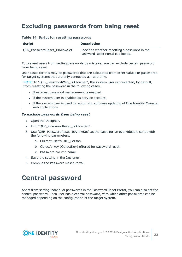### <span id="page-32-0"></span>**Excluding passwords from being reset**

|  |  |  |  |  | Table 14: Script for resetting passwords |
|--|--|--|--|--|------------------------------------------|
|--|--|--|--|--|------------------------------------------|

| <b>Script</b>                | <b>Description</b>                                                                 |
|------------------------------|------------------------------------------------------------------------------------|
| QER PasswordReset IsAllowSet | Specifies whether resetting a password in the<br>Password Reset Portal is allowed. |

To prevent users from setting passwords by mistake, you can exclude certain password from being reset.

User cases for this may be passwords that are calculated from other values or passwords for target systems that are only connected as read-only.

NOTE: In "QER\_PasswordWeb\_IsAllowSet", the system user is prevented, by default, from resetting the password in the following cases.

- If external password management is enabled.
- If the system user is enabled as service account.
- If the system user is used for automatic software updating of One Identity Manager web applications.

#### *To exclude passwords from being reset*

- 1. Open the Designer.
- 2. Find "OER\_PasswordReset\_IsAllowSet".
- 3. Use "QER\_PasswordReset\_IsAllowSet" as the basis for an overrideable script with the following parameters.
	- a. Current user's UID\_Person.
	- b. Object's key (ObjectKey) offered for password reset.
	- c. Password column name.
- 4. Save the setting in the Designer.
- <span id="page-32-1"></span>5. Compile the Password Reset Portal.

## **Central password**

Apart from setting individual passwords in the Password Reset Portal, you can also set the central password. Each user has a central password, with which other passwords can be managed depending on the configuration of the target system.

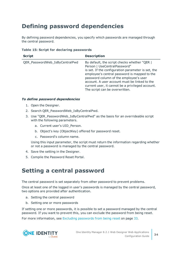### <span id="page-33-0"></span>**Defining password dependencies**

By defining password dependencies, you specify which passwords are managed through the central password.

#### **Table 15: Script for declaring passwords**

| <b>Script</b>                  | <b>Description</b>                                                                                                                                                                                                                                                                                                                                                  |
|--------------------------------|---------------------------------------------------------------------------------------------------------------------------------------------------------------------------------------------------------------------------------------------------------------------------------------------------------------------------------------------------------------------|
| QER_PasswordWeb_IsByCentralPwd | By default, the script checks whether "QER  <br>Person   UseCentralPassword"<br>is set. If the configuration parameter is set, the<br>employee's central password is mapped to the<br>password column of the employee's user<br>account. A user account must be linked to the<br>current user, it cannot be a privileged account.<br>The script can be overwritten. |

#### *To define password dependencies*

- 1. Open the Designer.
- 2. Search QER\_PasswordWeb\_IsByCentralPwd.
- 3. Use "QER\_PasswordWeb\_IsByCentralPwd" as the basis for an overrideable script with the following parameters.
	- a. Current user's UID\_Person.
	- b. Object's key (ObjectKey) offered for password reset.
	- c. Password's column name.

Using this input parameter, the script must return the information regarding whether or not a password is managed by the central password.

- 4. Save the setting in the Designer.
- <span id="page-33-1"></span>5. Compile the Password Reset Portal.

### **Setting a central password**

The central password is set separately from other password to prevent problems.

Once at least one of the logged in user's passwords is managed by the central password, two options are provided after authentication.

- a. Setting the central password
- b. Setting one or more passwords

If setting one or more passwords, it is possible to set a password managed by the central password. If you want to prevent this, you can exclude the password from being reset.

For more [information,](#page-32-0) see Excluding passwords from being reset on page 33.

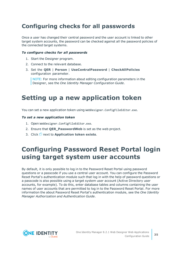### <span id="page-34-0"></span>**Configuring checks for all passwords**

Once a user has changed their central password and the user account is linked to other target system accounts, the password can be checked against all the password policies of the connected target systems.

#### *To configure checks for all passwords*

- 1. Start the Designer program.
- 2. Connect to the relevant database.
- 3. Set the **QER** | **Person** | **UseCentralPassword** | **CheckAllPolicies** configuration parameter.

NOTE: For more information about editing configuration parameters in the Designer, see the *One Identity Manager Configuration Guide*.

### <span id="page-34-1"></span>**Setting up a new application token**

You can set a new application token using WebDesigner.ConfigFileEditor.exe.

#### *To set a new application token*

- 1. Open WebDesigner.ConfigFileEditor.exe.
- 2. Ensure that **QER\_PasswordWeb** is set as the web project.
- <span id="page-34-2"></span>3. Click next to **Application token exists**.

## **Configuring Password Reset Portal login using target system user accounts**

By default, it is only possible to log in to the Password Reset Portal using password questions or a passcode if you use a central user account. You can configure the Password Reset Portal's authentication module such that log in with the help of password questions or a passcode is also possible using a target system user account (Active Directory user accounts, for example). To do this, enter database tables and columns containing the user names of user accounts that are permitted to log in to the Password Reset Portal. For more information the about Password Reset Portal's authentication module, see the *One Identity Manager Authorization and Authentication Guide*.

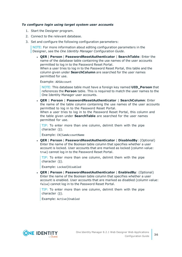#### *To configure login using target system user accounts*

- 1. Start the Designer program.
- 2. Connect to the relevant database.
- 3. Set and configure the following configuration parameters:

NOTE: For more information about editing configuration parameters in the Designer, see the *One Identity Manager Configuration Guide*.

<sup>l</sup> **QER** | **Person** | **PasswordResetAuthenticator** | **SearchTable**: Enter the name of the database table containing the use names of the user accounts permitted to log in to the Password Reset Portal. When a user tries to log in to the Password Reset Portal, this table and the column given under **SearchColumn** are searched for the user names permitted for use.

Example: ADSAccount

NOTE: This database table must have a foreign key named **UID\_Person** that references the **Person** table. This is required to match the user names to the One Identity Manager user accounts.

<sup>l</sup> **QER** | **Person** | **PasswordResetAuthenticator** | **SearchColumn**: Enter the name of the table column containing the use names of the user accounts permitted to log in to the Password Reset Portal.

When a user tries to log in to the Password Reset Portal, this column and the table given under **SearchTable** are searched for the user names permitted for use.

TIP: To enter more than one column, delimit them with the pipe character (**|**).

Example: CN|SamAccountName

<sup>l</sup> **QER** | **Person** | **PasswordResetAuthenticator** | **DisabledBy**: (Optional) Enter the name of the Boolean table column that specifies whether a user account is locked. User accounts that are marked as locked (column value: true) cannot log in to the Password Reset Portal.

TIP: To enter more than one column, delimit them with the pipe character (**|**).

Example: Locked|Disabled

<sup>l</sup> **QER** | **Person** | **PasswordResetAuthenticator** | **EnabledBy**: (Optional) Enter the name of the Boolean table column that specifies whether a user account is enabled. User accounts that are marked as disabled (column value: false) cannot log in to the Password Reset Portal.

TIP: To enter more than one column, delimit them with the pipe character (**|**).

Example: Active|Enabled

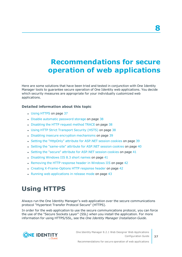# <span id="page-36-0"></span>**Recommendations for secure operation of web applications**

Here are some solutions that have been tried and tested in conjunction with One Identity Manager tools to guarantee secure operation of One Identity web applications. You decide which security measures are appropriate for your individually customized web applications.

#### **Detailed information about this topic**

- Using [HTTPS](#page-36-1) on page 37
- Disable [automatic](#page-37-0) password storage on page 38
- [Disabling](#page-37-1) the HTTP request method TRACE on page 38
- Using HTTP Strict [Transport](#page-37-2) Security (HSTS) on page 38
- Disabling insecure encryption [mechanisms](#page-38-0) on page 39
- Setting the ["HttpOnly"](#page-38-1) attribute for ASP.NET session cookies on page 39
- Setting the ["same-site"](#page-39-0) attribute for ASP.NET session cookies on page 40
- Setting the "secure" attribute for [ASP.NET](#page-40-0) session cookies on page 41
- $\bullet$  [Disabling](#page-40-1) Windows IIS 8.3 short names on page 41
- [Removing](#page-41-0) the HTTP response header in Windows IIS on page 42
- Creating [X-Frame-Options](#page-41-1) HTTP response header on page 42
- Running web [applications](#page-42-0) in release mode on page 43

## <span id="page-36-1"></span>**Using HTTPS**

Always run the One Identity Manager's web application over the secure communications protocol "Hypertext Transfer Protocol Secure" (HTTPS).

In order for the web application to use the secure communications protocol, you can force the use of the "Secure Sockets Layer" (SSL) when you install the application. For more information for using HTTPS/SSL, see the *One Identity Manager Installation Guide*.



**8**

Recommendations for secure operation of web applications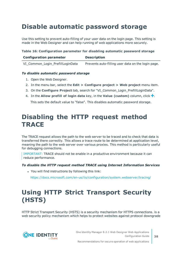## <span id="page-37-0"></span>**Disable automatic password storage**

Use this setting to prevent auto-filling of your user data on the login page. This setting is made in the Web Designer and can help running of web applications more securely.

#### **Table 16: Configuration parameter for disabling automatic password storage**

| <b>Configuration parameter</b>   | <b>Description</b>                                 |
|----------------------------------|----------------------------------------------------|
| VI_Common_Login_PrefillLoginData | Prevents auto-filling user data on the login page. |

#### *To disable automatic password storage*

- 1. Open the Web Designer.
- 2. In the menu bar, select the **Edit > Configure project > Web project** menu item.
- 3. On the **Configure Project** tab, search for "VI\_Common\_Login\_PrefillLoginData".
- 4. In the **Allow prefill of login data** key, in the **Value (custom)** column, click .

This sets the default value to "false". This disables automatic password storage.

## <span id="page-37-1"></span>**Disabling the HTTP request method TRACE**

The TRACE request allows the path to the web server to be traced and to check that data is transferred there correctly. This allows a trace route to be determined at application level, meaning the path to the web server over various proxies. This method is particularly useful for debugging connections.

IMPORTANT: TRACE should not be enable in a productive environment because it can reduce performance.

*To disable the HTTP request method TRACE using Internet Information Services*

• You will find instructions by following this link:

<https://docs.microsoft.com/en-us/iis/configuration/system.webserver/tracing/>

# <span id="page-37-2"></span>**Using HTTP Strict Transport Security (HSTS)**

HTTP Strict Transport Security (HSTS) is a security mechanism for HTTPS connections. is a web security policy mechanism which helps to protect websites against protocol downgrade



One Identity Manager 8.2.1 Web Designer Web Applications Configuration Guide

Recommendations for secure operation of web applications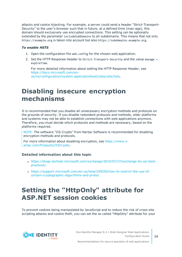attacks and cookie hijacking. For example, a server could send a header "Strict-Transport-Security" to the user's browser such that in future, at a defined time (max-age), this domain should exclusively use encrypted connections. This setting can be optionally extended by the parameter includeSubDomains to all subdomains. This means that not only https://example.org is taken into account but also https://subdomains.example.org.

#### *To enable HSTS*

- 1. Open the configuration file web.config for the chosen web application.
- 2. Set the HTTP Response Header to Strict-Transport-Security and the value maxage = expireTime.

For more detailed information about setting the HTTP Response Header, see [https://docs.microsoft.com/en](https://docs.microsoft.com/en-us/iis/configuration/system.applicationhost/sites/site/hsts)[us/iis/configuration/system.applicationhost/sites/site/hsts](https://docs.microsoft.com/en-us/iis/configuration/system.applicationhost/sites/site/hsts).

## <span id="page-38-0"></span>**Disabling insecure encryption mechanisms**

It is recommended that you disable all unnecessary encryption methods and protocols on the grounds of security. If you disable redundant protocols and methods, older platforms and systems may not be able to establish connections with web applications anymore. Therefore, you must decide which protocols and methods are necessary, based on the platforms required.

NOTE: The software "IIS Crypto" from Nartac Software is recommended for disabling encryption methods and protocols.

For more information about disabling encryption, see [https://www.n](https://www.nartac.com/Products/IISCrypto)[artac.com/Products/IISCrypto](https://www.nartac.com/Products/IISCrypto).

#### **Detailed information about this topic**

- <sup>l</sup> [https://blogs.technet.microsoft.com/exchange/2015/07/27/exchange-tls-ssl-best](https://blogs.technet.microsoft.com/exchange/2015/07/27/exchange-tls-ssl-best-practices/)[practices/](https://blogs.technet.microsoft.com/exchange/2015/07/27/exchange-tls-ssl-best-practices/)
- <sup>l</sup> [https://support.microsoft.com/en-us/help/245030/how-to-restrict-the-use-of](https://support.microsoft.com/en-us/help/245030/how-to-restrict-the-use-of-certain-cryptographic-algorithms-and-protoc)[certain-cryptographic-algorithms-and-protoc](https://support.microsoft.com/en-us/help/245030/how-to-restrict-the-use-of-certain-cryptographic-algorithms-and-protoc)

## <span id="page-38-1"></span>**Setting the "HttpOnly" attribute for ASP.NET session cookies**

To prevent cookies being manipulated by JavaScript and to reduce the risk of cross-site scripting attacks and cookie theft, you can set the so called "HttpOnly" attribute for your



Recommendations for secure operation of web applications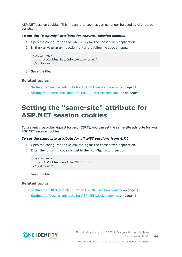ASP.NET session cookies. This means that cookies can no longer be used by client-side scripts.

#### *To set the "HttpOnly" attribute for ASP.NET session cookies*

- 1. Open the configuration file web.config for the chosen web application.
- 2. In the <configuration> section, enter the following code snippet:

```
<system.web>
    <httpCookies httpOnlyCookies="true"/>
</system.web>
```
3. Save the file.

#### **Related topics**

- Setting the "secure" attribute for [ASP.NET](#page-40-0) session cookies on page 41
- Setting the ["same-site"](#page-39-0) attribute for ASP.NET session cookies on page 40

### <span id="page-39-0"></span>**Setting the "same-site" attribute for ASP.NET session cookies**

To prevent cross-site request forgery (CSRF), you can set the same-site attribute for your ASP.NET session cookies.

#### *To set the same site attribute for all .NET versions from 4.7.2.*

- 1. Open the configuration file web.config for the chosen web application.
- 2. Enter the following code snippet in the <configuration> section:

```
<system.web>
    <httpCookies sameSite="Strict" />
</system.web>
```
3. Save the file.

#### **Related topics**

- Setting the ["HttpOnly"](#page-38-1) attribute for ASP.NET session cookies on page 39
- Setting the "secure" attribute for [ASP.NET](#page-40-0) session cookies on page 41



**40**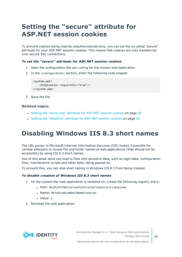## <span id="page-40-0"></span>**Setting the "secure" attribute for ASP.NET session cookies**

To prevent cookies being read by unauthorized persons, you can set the so called "secure" attribute for your ASP.NET session cookies. This means that cookies are only transferred over secure SSL connections.

#### *To set the "secure" attribute for ASP.NET session cookies*

- 1. Open the configuration file web.config for the chosen web application.
- 2. In the <configuration> section, enter the following code snippet:

```
<system.web>
    <httpCookies requireSSL="true"/>
</system.web>
```
3. Save the file.

#### **Related topics**

- Setting the ["same-site"](#page-39-0) attribute for ASP.NET session cookies on page 40
- Setting the ["HttpOnly"](#page-38-1) attribute for ASP.NET session cookies on page 39

## <span id="page-40-1"></span>**Disabling Windows IIS 8.3 short names**

The URL parser in Microsoft Internet Information Services (IIS) makes it possible for remote attackers to reveal file and folder names of web applications (that should not be accessible) by using IIS 8.3 short names.

Use of this weak point can lead to files with sensitive data, such as login data, configuration files, maintenance scripts and other data, being passed on.

To prevent this, you can stop short names in Windows IIS 8.3 from being created.

#### *To disable creation of Windows IIS 8.3 short names*

- 1. On the system the web application is installed on, create the following registry entry:
	- Path: HKLM\SYSTEM\CurrentControlSet\Control\FileSystem
	- . Name: NtfsDisable8dot3NameCreation
	- <sup>l</sup> Value: 1
- 2. Reinstall the web application.

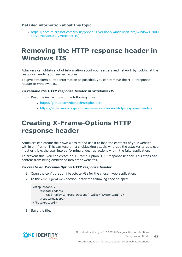#### **Detailed information about this topic**

<sup>l</sup> [https://docs.microsoft.com/en-us/previous-versions/windows/it-pro/windows-2000](https://docs.microsoft.com/en-us/previous-versions/windows/it-pro/windows-2000-server/cc959352(v=technet.10)) [server/cc959352\(v=technet.10\)](https://docs.microsoft.com/en-us/previous-versions/windows/it-pro/windows-2000-server/cc959352(v=technet.10))

## <span id="page-41-0"></span>**Removing the HTTP response header in Windows IIS**

Attackers can obtain a lot of information about your servers and network by looking at the response header your server returns.

To give attackers a little information as possible, you can remove the HTTP response header in Windows IIS.

#### *To remove the HTTP response header in Windows IIS*

- Read the instructions in the following links:
	- <https://github.com/dionach/stripheaders>
	- . <https://www.saotn.org/remove-iis-server-version-http-response-header/>

## <span id="page-41-1"></span>**Creating X-Frame-Options HTTP response header**

Attackers can create their own website and use it to load the contents of your website within an iframe. This can result in a clickjacking attack, whereby the attacker targets user input or tricks the user into performing undesired actions within the fake application.

To prevent this, you can create an X-Frame-Option HTTP response header. This stops site content from being embedded into other websites.

#### *To create an X-Frame-Option HTTP response header*

- 1. Open the configuration file web.config for the chosen web application.
- 2. In the <configuration> section, enter the following code snippet:

```
<httpProtocol>
    <customHeaders>
        <add name="X-Frame-Options" value="SAMEORIGIN" />
    </customHeaders>
</httpProtocol>
```
3. Save the file.



One Identity Manager 8.2.1 Web Designer Web Applications Configuration Guide

**42**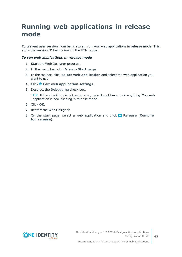# <span id="page-42-0"></span>**Running web applications in release mode**

To prevent user session from being stolen, run your web applications in release mode. This stops the session ID being given in the HTML code.

#### *To run web applications in release mode*

- 1. Start the Web Designer program.
- 2. In the menu bar, click **View** > **Start page**.
- 3. In the toolbar, click **Select web application** and select the web application you want to use.
- 4. Click **Edit web application settings**.
- 5. Deselect the **Debugging** check box.

TIP: If the check box is not set anyway, you do not have to do anything. You web application is now running in release mode.

- 6. Click **OK**.
- 7. Restart the Web Designer.
- 8. On the start page, select a web application and click **Release** (**Compile for release**).